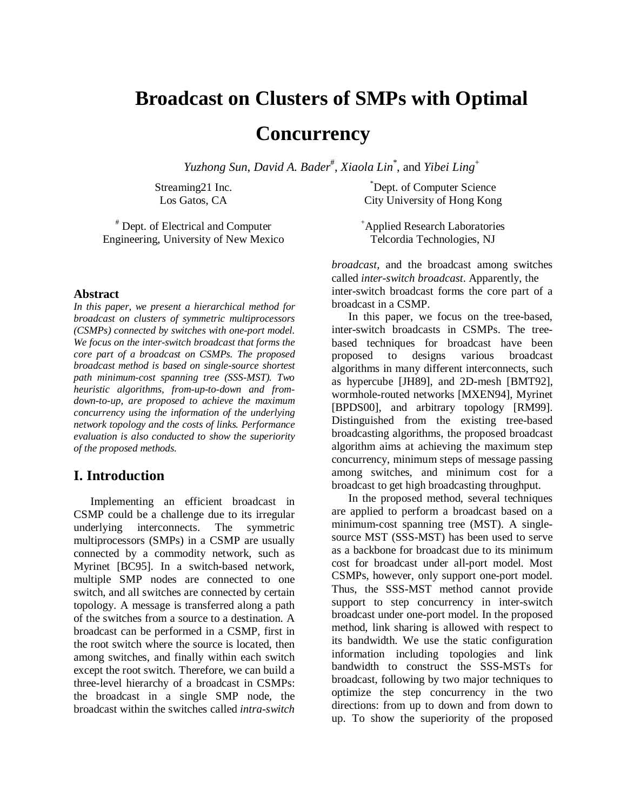# **Broadcast on Clusters of SMPs with Optimal**

## **Concurrency**

*Yuzhong Sun*, *David A. Bader*# , *Xiaola Lin*\* , and *Yibei Ling*<sup>+</sup>

Streaming21 Inc. Los Gatos, CA

# Dept. of Electrical and Computer Engineering, University of New Mexico

#### **Abstract**

*In this paper, we present a hierarchical method for broadcast on clusters of symmetric multiprocessors (CSMPs) connected by switches with one-port model. We focus on the inter-switch broadcast that forms the core part of a broadcast on CSMPs. The proposed broadcast method is based on single-source shortest path minimum-cost spanning tree (SSS-MST). Two heuristic algorithms, from-up-to-down and fromdown-to-up, are proposed to achieve the maximum concurrency using the information of the underlying network topology and the costs of links. Performance evaluation is also conducted to show the superiority of the proposed methods.* 

#### **I. Introduction**

 Implementing an efficient broadcast in CSMP could be a challenge due to its irregular underlying interconnects. The symmetric multiprocessors (SMPs) in a CSMP are usually connected by a commodity network, such as Myrinet [BC95]. In a switch-based network, multiple SMP nodes are connected to one switch, and all switches are connected by certain topology. A message is transferred along a path of the switches from a source to a destination. A broadcast can be performed in a CSMP, first in the root switch where the source is located, then among switches, and finally within each switch except the root switch. Therefore, we can build a three-level hierarchy of a broadcast in CSMPs: the broadcast in a single SMP node, the broadcast within the switches called *intra-switch* 

\* Dept. of Computer Science City University of Hong Kong

+ Applied Research Laboratories Telcordia Technologies, NJ

*broadcast*, and the broadcast among switches called *inter-switch broadcast*. Apparently, the inter-switch broadcast forms the core part of a broadcast in a CSMP.

 In this paper, we focus on the tree-based, inter-switch broadcasts in CSMPs. The treebased techniques for broadcast have been proposed to designs various broadcast algorithms in many different interconnects, such as hypercube [JH89], and 2D-mesh [BMT92], wormhole-routed networks [MXEN94], Myrinet [BPDS00], and arbitrary topology [RM99]. Distinguished from the existing tree-based broadcasting algorithms, the proposed broadcast algorithm aims at achieving the maximum step concurrency, minimum steps of message passing among switches, and minimum cost for a broadcast to get high broadcasting throughput.

 In the proposed method, several techniques are applied to perform a broadcast based on a minimum-cost spanning tree (MST). A singlesource MST (SSS-MST) has been used to serve as a backbone for broadcast due to its minimum cost for broadcast under all-port model. Most CSMPs, however, only support one-port model. Thus, the SSS-MST method cannot provide support to step concurrency in inter-switch broadcast under one-port model. In the proposed method, link sharing is allowed with respect to its bandwidth. We use the static configuration information including topologies and link bandwidth to construct the SSS-MSTs for broadcast, following by two major techniques to optimize the step concurrency in the two directions: from up to down and from down to up. To show the superiority of the proposed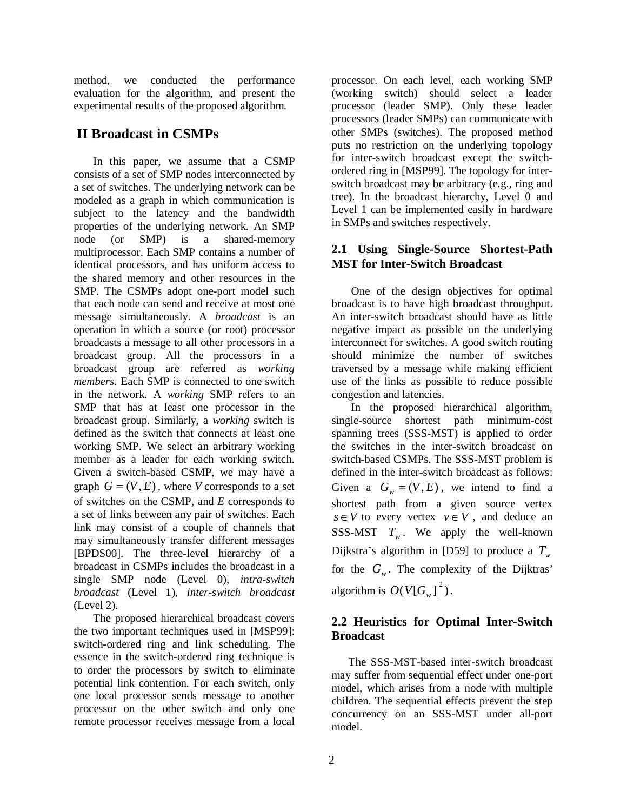method, we conducted the performance evaluation for the algorithm, and present the experimental results of the proposed algorithm.

### **II Broadcast in CSMPs**

 In this paper, we assume that a CSMP consists of a set of SMP nodes interconnected by a set of switches. The underlying network can be modeled as a graph in which communication is subject to the latency and the bandwidth properties of the underlying network. An SMP node (or SMP) is a shared-memory multiprocessor. Each SMP contains a number of identical processors, and has uniform access to the shared memory and other resources in the SMP. The CSMPs adopt one-port model such that each node can send and receive at most one message simultaneously. A *broadcast* is an operation in which a source (or root) processor broadcasts a message to all other processors in a broadcast group. All the processors in a broadcast group are referred as *working members*. Each SMP is connected to one switch in the network. A *working* SMP refers to an SMP that has at least one processor in the broadcast group. Similarly, a *working* switch is defined as the switch that connects at least one working SMP. We select an arbitrary working member as a leader for each working switch. Given a switch-based CSMP, we may have a graph  $G = (V, E)$ , where *V* corresponds to a set of switches on the CSMP, and *E* corresponds to a set of links between any pair of switches. Each link may consist of a couple of channels that may simultaneously transfer different messages [BPDS00]. The three-level hierarchy of a broadcast in CSMPs includes the broadcast in a single SMP node (Level 0), *intra-switch broadcast* (Level 1), *inter-switch broadcast* (Level 2).

 The proposed hierarchical broadcast covers the two important techniques used in [MSP99]: switch-ordered ring and link scheduling. The essence in the switch-ordered ring technique is to order the processors by switch to eliminate potential link contention. For each switch, only one local processor sends message to another processor on the other switch and only one remote processor receives message from a local

processor. On each level, each working SMP (working switch) should select a leader processor (leader SMP). Only these leader processors (leader SMPs) can communicate with other SMPs (switches). The proposed method puts no restriction on the underlying topology for inter-switch broadcast except the switchordered ring in [MSP99]. The topology for interswitch broadcast may be arbitrary (e.g., ring and tree). In the broadcast hierarchy, Level 0 and Level 1 can be implemented easily in hardware in SMPs and switches respectively.

#### **2.1 Using Single-Source Shortest-Path MST for Inter-Switch Broadcast**

 One of the design objectives for optimal broadcast is to have high broadcast throughput. An inter-switch broadcast should have as little negative impact as possible on the underlying interconnect for switches. A good switch routing should minimize the number of switches traversed by a message while making efficient use of the links as possible to reduce possible congestion and latencies.

 In the proposed hierarchical algorithm, single-source shortest path minimum-cost spanning trees (SSS-MST) is applied to order the switches in the inter-switch broadcast on switch-based CSMPs. The SSS-MST problem is defined in the inter-switch broadcast as follows: Given a  $G_w = (V, E)$ , we intend to find a shortest path from a given source vertex  $s \in V$  to every vertex  $v \in V$ , and deduce an SSS-MST  $T_w$ . We apply the well-known Dijkstra's algorithm in [D59] to produce a  $T_w$ for the  $G_w$ . The complexity of the Dijktras' algorithm is  $O(|V[G_w]|^2)$ .

#### **2.2 Heuristics for Optimal Inter-Switch Broadcast**

 The SSS-MST-based inter-switch broadcast may suffer from sequential effect under one-port model, which arises from a node with multiple children. The sequential effects prevent the step concurrency on an SSS-MST under all-port model.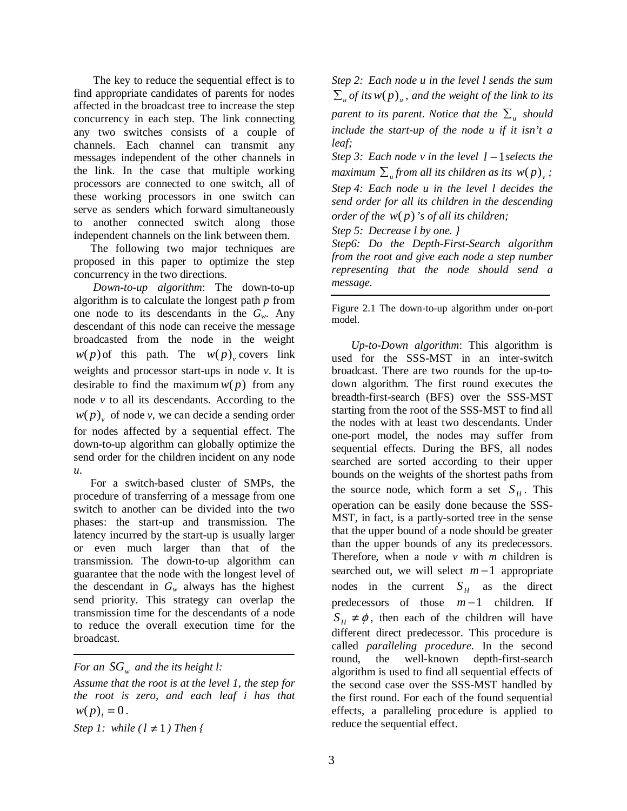The key to reduce the sequential effect is to find appropriate candidates of parents for nodes affected in the broadcast tree to increase the step concurrency in each step. The link connecting any two switches consists of a couple of channels. Each channel can transmit any messages independent of the other channels in the link. In the case that multiple working processors are connected to one switch, all of these working processors in one switch can serve as senders which forward simultaneously to another connected switch along those independent channels on the link between them.

 The following two major techniques are proposed in this paper to optimize the step concurrency in the two directions.

 *Down-to-up algorithm*: The down-to-up algorithm is to calculate the longest path *p* from one node to its descendants in the *Gw*. Any descendant of this node can receive the message broadcasted from the node in the weight  $w(p)$  of this path. The  $w(p)$  covers link weights and processor start-ups in node *v*. It is desirable to find the maximum  $w(p)$  from any node  $v$  to all its descendants. According to the  $w(p)$ <sub>v</sub> of node *v*, we can decide a sending order for nodes affected by a sequential effect. The down-to-up algorithm can globally optimize the send order for the children incident on any node *u*.

 For a switch-based cluster of SMPs, the procedure of transferring of a message from one switch to another can be divided into the two phases: the start-up and transmission. The latency incurred by the start-up is usually larger or even much larger than that of the transmission. The down-to-up algorithm can guarantee that the node with the longest level of the descendant in  $G_w$  always has the highest send priority. This strategy can overlap the transmission time for the descendants of a node to reduce the overall execution time for the broadcast.

*Step 1: while (1 ≠ 1) Then {* 

*Step 2: Each node u in the level l sends the sum*   $\sum_{u}$  *of its*  $w(p)$ <sub>*u*</sub>, and the weight of the link to its *parent to its parent. Notice that the*  $\sum_{u}$  *should include the start-up of the node u if it isn't a leaf;* 

*Step 3: Each node v in the level l* −1*selects the maximum*  $\sum_{u}$  *from all its children as its w*( $p$ )<sub>*v</sub>*;</sub> *Step 4: Each node u in the level l decides the send order for all its children in the descending order of the w*( *p*)*'s of all its children;* 

*Step 5: Decrease l by one. }* 

*Step6: Do the Depth-First-Search algorithm from the root and give each node a step number representing that the node should send a message.* 

Figure 2.1 The down-to-up algorithm under on-port model.

 *Up-to-Down algorithm*: This algorithm is used for the SSS-MST in an inter-switch broadcast. There are two rounds for the up-todown algorithm. The first round executes the breadth-first-search (BFS) over the SSS-MST starting from the root of the SSS-MST to find all the nodes with at least two descendants. Under one-port model, the nodes may suffer from sequential effects. During the BFS, all nodes searched are sorted according to their upper bounds on the weights of the shortest paths from the source node, which form a set  $S_H$ . This operation can be easily done because the SSS-MST, in fact, is a partly-sorted tree in the sense that the upper bound of a node should be greater than the upper bounds of any its predecessors. Therefore, when a node *v* with *m* children is searched out, we will select *m* −1 appropriate nodes in the current  $S_H$  as the direct predecessors of those *m* −1 children. If  $S_H \neq \phi$ , then each of the children will have different direct predecessor. This procedure is called *paralleling procedure*. In the second round, the well-known depth-first-search algorithm is used to find all sequential effects of the second case over the SSS-MST handled by the first round. For each of the found sequential effects, a paralleling procedure is applied to reduce the sequential effect.

*For an*  $SG_w$  *and the its height l:* 

*Assume that the root is at the level 1, the step for the root is zero, and each leaf i has that*   $w(p)_{i} = 0$ .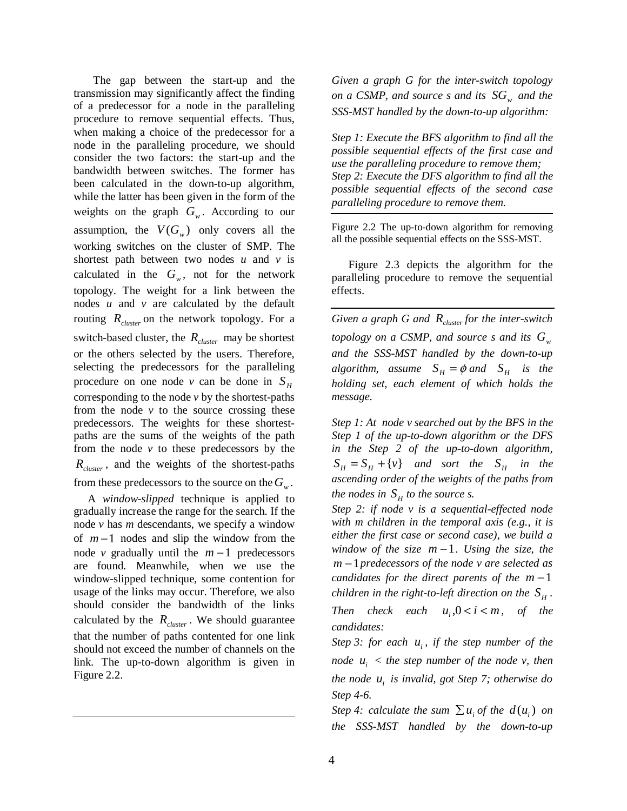The gap between the start-up and the transmission may significantly affect the finding of a predecessor for a node in the paralleling procedure to remove sequential effects. Thus, when making a choice of the predecessor for a node in the paralleling procedure, we should consider the two factors: the start-up and the bandwidth between switches. The former has been calculated in the down-to-up algorithm, while the latter has been given in the form of the weights on the graph  $G_w$ . According to our assumption, the  $V(G_w)$  only covers all the working switches on the cluster of SMP. The shortest path between two nodes  $u$  and  $v$  is calculated in the  $G_w$ , not for the network topology. The weight for a link between the nodes *u* and *v* are calculated by the default routing  $R_{cluster}$  on the network topology. For a switch-based cluster, the  $R_{cluster}$  may be shortest or the others selected by the users. Therefore, selecting the predecessors for the paralleling procedure on one node *v* can be done in  $S_H$ corresponding to the node *v* by the shortest-paths from the node  $v$  to the source crossing these predecessors. The weights for these shortestpaths are the sums of the weights of the path from the node *v* to these predecessors by the *Rcluster* , and the weights of the shortest-paths from these predecessors to the source on the  $G_w$ .

 A *window-slipped* technique is applied to gradually increase the range for the search. If the node *v* has *m* descendants, we specify a window of *m* −1 nodes and slip the window from the node *v* gradually until the  $m-1$  predecessors are found. Meanwhile, when we use the window-slipped technique, some contention for usage of the links may occur. Therefore, we also should consider the bandwidth of the links calculated by the  $R_{cluster}$ . We should guarantee that the number of paths contented for one link should not exceed the number of channels on the link. The up-to-down algorithm is given in Figure 2.2.

*Given a graph G for the inter-switch topology on a CSMP, and source s and its*  $SG_w$  *and the SSS-MST handled by the down-to-up algorithm:* 

*Step 1: Execute the BFS algorithm to find all the possible sequential effects of the first case and use the paralleling procedure to remove them; Step 2: Execute the DFS algorithm to find all the possible sequential effects of the second case paralleling procedure to remove them.* 

Figure 2.2 The up-to-down algorithm for removing all the possible sequential effects on the SSS-MST.

 Figure 2.3 depicts the algorithm for the paralleling procedure to remove the sequential effects.

*Given a graph G and Rcluster for the inter-switch topology on a CSMP, and source s and its*  $G_w$ *and the SSS-MST handled by the down-to-up algorithm, assume*  $S_H = \phi$  *and*  $S_H$  *is the holding set, each element of which holds the message.* 

*Step 1: At node v searched out by the BFS in the Step 1 of the up-to-down algorithm or the DFS in the Step 2 of the up-to-down algorithm,*   $S_H = S_H + \{v\}$  *and sort the*  $S_H$  *in the ascending order of the weights of the paths from the nodes in*  $S_H$  *to the source s.* 

*Step 2: if node v is a sequential-effected node with m children in the temporal axis (e.g., it is either the first case or second case), we build a window of the size m* −1*. Using the size, the m* −1*predecessors of the node v are selected as candidates for the direct parents of the m* −1 *children in the right-to-left direction on the*  $S_{\mu}$ . *Then check each*  $u_i$ ,  $0 < i < m$ , *of the candidates:* 

*Step 3: for each u<sub>i</sub>, if the step number of the node*  $u_i$  < the step number of the node v, then *the node*  $u_i$  *is invalid, got Step 7; otherwise do Step 4-6.* 

*Step 4: calculate the sum*  $\sum u_i$  *of the*  $d(u_i)$  *on the SSS-MST handled by the down-to-up*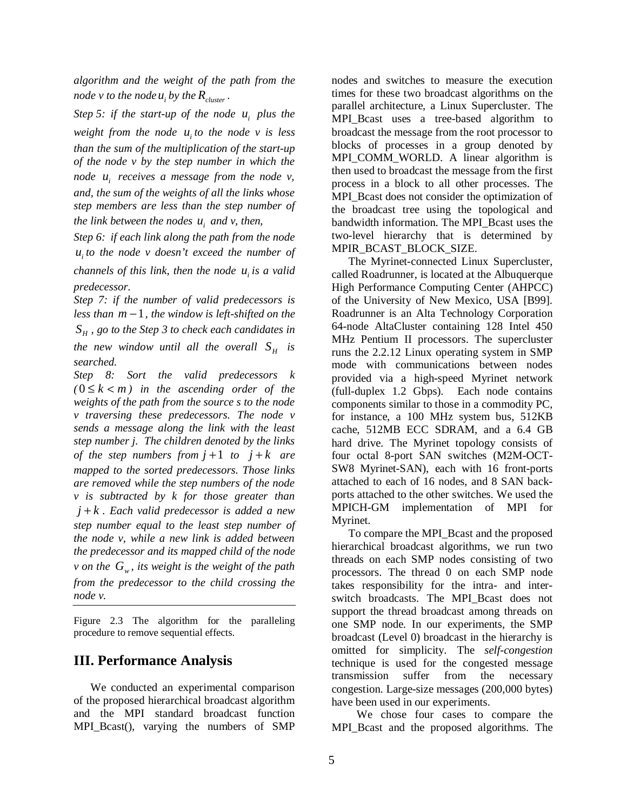*algorithm and the weight of the path from the node v to the node*  $u_i$  *by the*  $R_{cluster}$ *.* 

*Step 5: if the start-up of the node u<sub>i</sub> plus the weight from the node*  $u_i$  *to the node v is less than the sum of the multiplication of the start-up of the node v by the step number in which the node*  $u_i$  *receives a message from the node*  $v_i$ , *and, the sum of the weights of all the links whose step members are less than the step number of the link between the nodes*  $u_i$  *and v, then,* 

*Step 6: if each link along the path from the node <sup>i</sup> u to the node v doesn't exceed the number of* 

*channels of this link, then the node u<sub>i</sub> is a valid predecessor.* 

*Step 7: if the number of valid predecessors is less than m* −1*, the window is left-shifted on the <sup>H</sup> S , go to the Step 3 to check each candidates in the new window until all the overall*  $S_H$  *is searched.* 

*Step 8: Sort the valid predecessors k*   $(0 \leq k < m)$  *in the ascending order of the weights of the path from the source s to the node v traversing these predecessors. The node v sends a message along the link with the least step number j. The children denoted by the links of the step numbers from*  $j+1$  *to*  $j+k$  *are mapped to the sorted predecessors. Those links are removed while the step numbers of the node v is subtracted by k for those greater than j* + *k . Each valid predecessor is added a new step number equal to the least step number of the node v, while a new link is added between the predecessor and its mapped child of the node v* on the  $G_w$ , its weight is the weight of the path *from the predecessor to the child crossing the node v.* 

Figure 2.3 The algorithm for the paralleling procedure to remove sequential effects.

#### **III. Performance Analysis**

 We conducted an experimental comparison of the proposed hierarchical broadcast algorithm and the MPI standard broadcast function MPI\_Bcast(), varying the numbers of SMP

nodes and switches to measure the execution times for these two broadcast algorithms on the parallel architecture, a Linux Supercluster. The MPI Bcast uses a tree-based algorithm to broadcast the message from the root processor to blocks of processes in a group denoted by MPI\_COMM\_WORLD. A linear algorithm is then used to broadcast the message from the first process in a block to all other processes. The MPI\_Bcast does not consider the optimization of the broadcast tree using the topological and bandwidth information. The MPI\_Bcast uses the two-level hierarchy that is determined by MPIR\_BCAST\_BLOCK\_SIZE.

 The Myrinet-connected Linux Supercluster, called Roadrunner, is located at the Albuquerque High Performance Computing Center (AHPCC) of the University of New Mexico, USA [B99]. Roadrunner is an Alta Technology Corporation 64-node AltaCluster containing 128 Intel 450 MHz Pentium II processors. The supercluster runs the 2.2.12 Linux operating system in SMP mode with communications between nodes provided via a high-speed Myrinet network (full-duplex 1.2 Gbps). Each node contains components similar to those in a commodity PC, for instance, a 100 MHz system bus, 512KB cache, 512MB ECC SDRAM, and a 6.4 GB hard drive. The Myrinet topology consists of four octal 8-port SAN switches (M2M-OCT-SW8 Myrinet-SAN), each with 16 front-ports attached to each of 16 nodes, and 8 SAN backports attached to the other switches. We used the MPICH-GM implementation of MPI for Myrinet.

 To compare the MPI\_Bcast and the proposed hierarchical broadcast algorithms, we run two threads on each SMP nodes consisting of two processors. The thread 0 on each SMP node takes responsibility for the intra- and interswitch broadcasts. The MPI\_Bcast does not support the thread broadcast among threads on one SMP node. In our experiments, the SMP broadcast (Level 0) broadcast in the hierarchy is omitted for simplicity. The *self*-*congestion* technique is used for the congested message transmission suffer from the necessary congestion. Large-size messages (200,000 bytes) have been used in our experiments.

 We chose four cases to compare the MPI\_Bcast and the proposed algorithms. The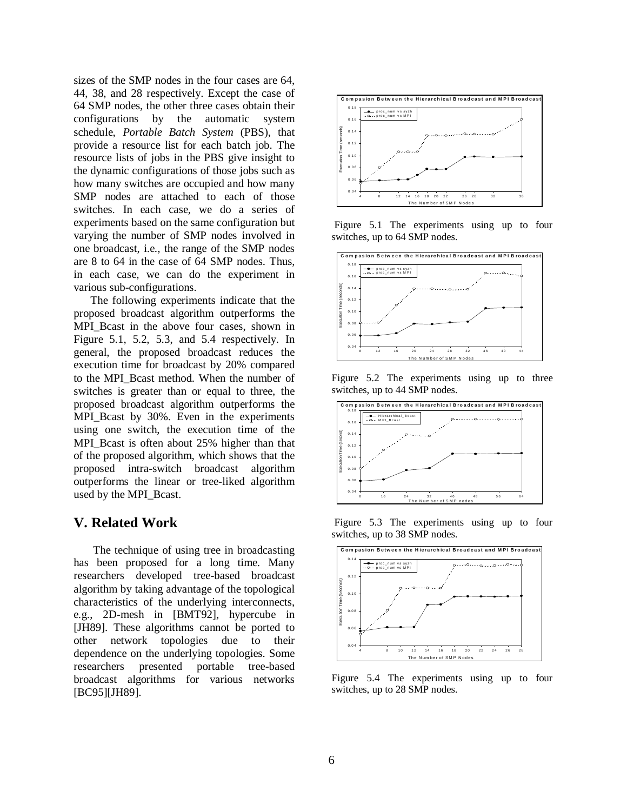sizes of the SMP nodes in the four cases are 64, 44, 38, and 28 respectively. Except the case of 64 SMP nodes, the other three cases obtain their configurations by the automatic system schedule, *Portable Batch System* (PBS), that provide a resource list for each batch job. The resource lists of jobs in the PBS give insight to the dynamic configurations of those jobs such as how many switches are occupied and how many SMP nodes are attached to each of those switches. In each case, we do a series of experiments based on the same configuration but varying the number of SMP nodes involved in one broadcast, i.e., the range of the SMP nodes are 8 to 64 in the case of 64 SMP nodes. Thus, in each case, we can do the experiment in various sub-configurations.

 The following experiments indicate that the proposed broadcast algorithm outperforms the MPI\_Bcast in the above four cases, shown in Figure 5.1, 5.2, 5.3, and 5.4 respectively. In general, the proposed broadcast reduces the execution time for broadcast by 20% compared to the MPI\_Bcast method. When the number of switches is greater than or equal to three, the proposed broadcast algorithm outperforms the MPI\_Bcast by 30%. Even in the experiments using one switch, the execution time of the MPI Bcast is often about 25% higher than that of the proposed algorithm, which shows that the proposed intra-switch broadcast algorithm outperforms the linear or tree-liked algorithm used by the MPI\_Bcast.

#### **V. Related Work**

 The technique of using tree in broadcasting has been proposed for a long time. Many researchers developed tree-based broadcast algorithm by taking advantage of the topological characteristics of the underlying interconnects, e.g., 2D-mesh in [BMT92], hypercube in [JH89]. These algorithms cannot be ported to other network topologies due to their dependence on the underlying topologies. Some researchers presented portable tree-based broadcast algorithms for various networks [BC95][JH89].



Figure 5.1 The experiments using up to four switches, up to 64 SMP nodes.



Figure 5.2 The experiments using up to three switches, up to 44 SMP nodes.



Figure 5.3 The experiments using up to four switches, up to 38 SMP nodes.



Figure 5.4 The experiments using up to four switches, up to 28 SMP nodes.